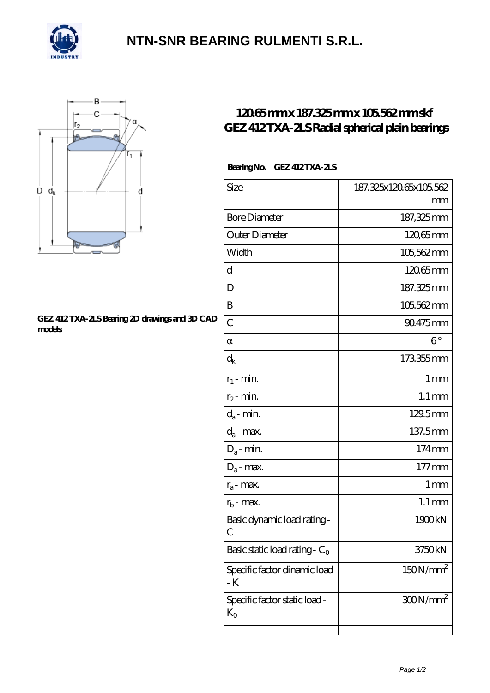

## **[NTN-SNR BEARING RULMENTI S.R.L.](https://m.confidencemenimprov.com)**



#### **[GEZ 412 TXA-2LS Bearing 2D drawings and 3D CAD](https://m.confidencemenimprov.com/pic-64975160.html) [models](https://m.confidencemenimprov.com/pic-64975160.html)**

### **[120.65 mm x 187.325 mm x 105.562 mm skf](https://m.confidencemenimprov.com/az-64975160-skf-gez-412-txa-2ls-radial-spherical-plain-bearings.html) [GEZ 412 TXA-2LS Radial spherical plain bearings](https://m.confidencemenimprov.com/az-64975160-skf-gez-412-txa-2ls-radial-spherical-plain-bearings.html)**

### **Bearing No. GEZ 412 TXA-2LS**

| Size                                          | 187.325x120.65x105.562 |
|-----------------------------------------------|------------------------|
|                                               | mm                     |
| <b>Bore Diameter</b>                          | 187,325mm              |
| Outer Diameter                                | $12065$ mm             |
| Width                                         | 105,562mm              |
| d                                             | 12065mm                |
| D                                             | 187.325mm              |
| B                                             | 105.562mm              |
| $\overline{C}$                                | 90.475mm               |
|                                               | $6^{\circ}$            |
| $\mathrm{d}_{\mathsf{k}}$                     | 173355mm               |
| $r_1$ - min.                                  | 1 <sub>mm</sub>        |
| $r_2$ - min.                                  | $1.1 \,\mathrm{mm}$    |
| $d_a$ - min.                                  | 129.5mm                |
| $d_a$ - max.                                  | 137.5mm                |
| $D_a$ - min.                                  | 174mm                  |
| $D_a$ - max.                                  | $177$ mm               |
| $r_a$ - max.                                  | 1 mm                   |
| $r_{b}$ - max.                                | $1.1 \,\mathrm{mm}$    |
| Basic dynamic load rating-<br>С               | 1900kN                 |
| Basic static load rating - $C_0$              | 3750kN                 |
| Specific factor dinamic load<br>- K           | 150N/mm <sup>2</sup>   |
| Specific factor static load -<br>$K_{\Omega}$ | $300N/mm^2$            |
|                                               |                        |